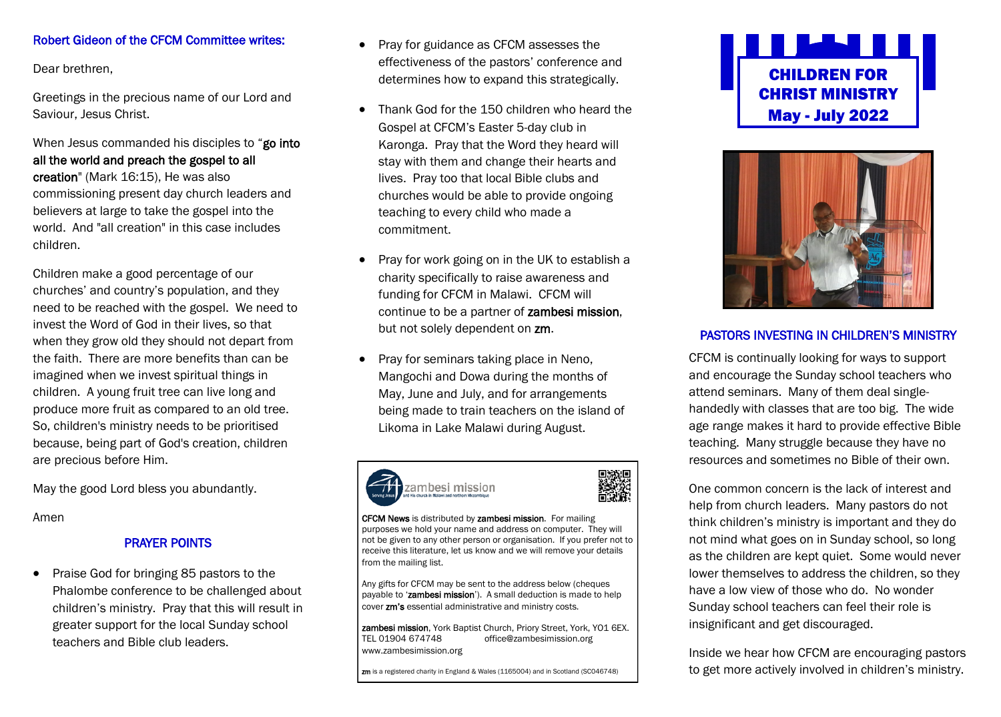## Robert Gideon of the CFCM Committee writes:

Dear brethren,

Greetings in the precious name of our Lord and Saviour, Jesus Christ.

When Jesus commanded his disciples to "go into all the world and preach the gospel to all

creation" (Mark 16:15), He was also commissioning present day church leaders and believers at large to take the gospel into the world. And "all creation" in this case includes children.

Children make a good percentage of our churches' and country's population, and they need to be reached with the gospel. We need to invest the Word of God in their lives, so that when they grow old they should not depart from the faith. There are more benefits than can be imagined when we invest spiritual things in children. A young fruit tree can live long and produce more fruit as compared to an old tree. So, children's ministry needs to be prioritised because, being part of God's creation, children are precious before Him.

May the good Lord bless you abundantly.

Amen

## PRAYER POINTS

• Praise God for bringing 85 pastors to the Phalombe conference to be challenged about children's ministry. Pray that this will result in greater support for the local Sunday school teachers and Bible club leaders.

- Pray for guidance as CFCM assesses the effectiveness of the pastors' conference and determines how to expand this strategically.
- Thank God for the 150 children who heard the Gospel at CFCM's Easter 5-day club in Karonga. Pray that the Word they heard will stay with them and change their hearts and lives. Pray too that local Bible clubs and churches would be able to provide ongoing teaching to every child who made a commitment.
- Pray for work going on in the UK to establish a charity specifically to raise awareness and funding for CFCM in Malawi. CFCM will continue to be a partner of zambesi mission, but not solely dependent on zm.
- Pray for seminars taking place in Neno, Mangochi and Dowa during the months of May, June and July, and for arrangements being made to train teachers on the island of Likoma in Lake Malawi during August.





CFCM News is distributed by zambesi mission. For mailing purposes we hold your name and address on computer. They will not be given to any other person or organisation. If you prefer not to receive this literature, let us know and we will remove your details from the mailing list.

Any gifts for CFCM may be sent to the address below (cheques payable to 'zambesi mission'). A small deduction is made to help cover zm's essential administrative and ministry costs.

zambesi mission, York Baptist Church, Priory Street, York, YO1 6EX.<br>TEL 01904 674748 office@zambesimission.org office@zambesimission.org www.zambesimission.org

zm is a registered charity in England & Wales (1165004) and in Scotland (SC046748)





# PASTORS INVESTING IN CHILDREN'S MINISTRY

CFCM is continually looking for ways to support and encourage the Sunday school teachers who attend seminars. Many of them deal singlehandedly with classes that are too big. The wide age range makes it hard to provide effective Bible teaching. Many struggle because they have no resources and sometimes no Bible of their own.

One common concern is the lack of interest and help from church leaders. Many pastors do not think children's ministry is important and they do not mind what goes on in Sunday school, so long as the children are kept quiet. Some would never lower themselves to address the children, so they have a low view of those who do. No wonder Sunday school teachers can feel their role is insignificant and get discouraged.

Inside we hear how CFCM are encouraging pastors to get more actively involved in children's ministry.